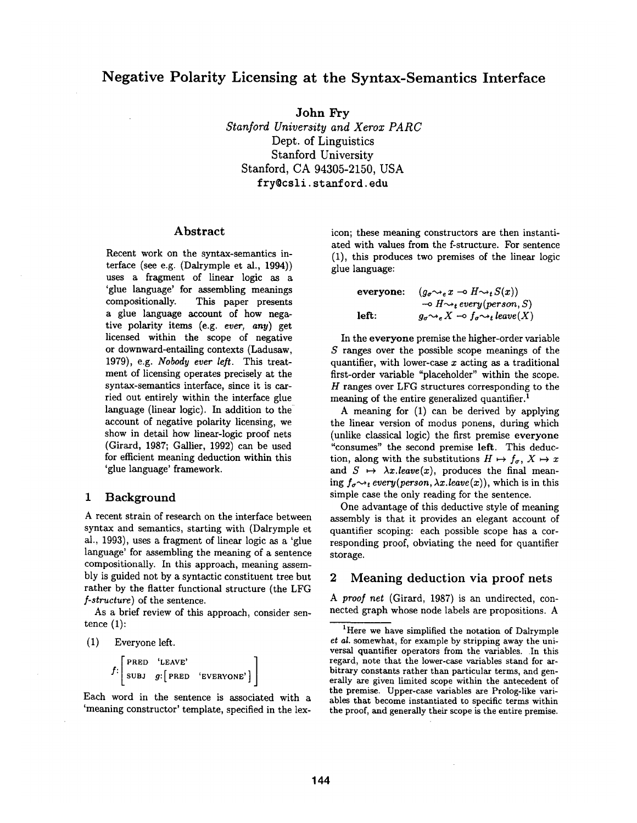**John** Fry *Stanford University and Xerox PARC*  Dept. of Linguistics Stanford University Stanford, CA 94305-2150, USA fry@csli, stanford, edu

### Abstract

Recent work on the syntax-semantics interface (see e.g. (Dalrymple et al., 1994)) uses a fragment of linear logic as a 'glue language' for assembling meanings compositionally. This paper presents a glue language account of how negative polarity items (e.g. *ever, any)* get licensed within the scope of negative or downward-entailing contexts (Ladusaw, 1979), e.g. *Nobody ever left.* This treatment of licensing operates precisely at the syntax-semantics interface, since it is carried out entirely within the interface glue language (linear logic). In addition to the account of negative polarity licensing, we show in detail how linear-logic proof nets (Girard, 1987; Gallier, 1992) can be used for efficient meaning deduction within this 'glue language' framework.

### 1 Background

A recent strain of research on the interface between syntax and semantics, starting with (Dalrymple et al., 1993), uses a fragment of linear logic as a 'glue language' for assembling the meaning of a sentence compositionally. In this approach, meaning assembly is guided not by a syntactic constituent tree but rather by the flatter functional structure (the LFG *f-structure)* of the sentence.

As a brief review of this approach, consider sentence  $(1)$ :

(1) Everyone left.

$$
f: \left[ \begin{array}{lll} \texttt{PRED} & \texttt{`LEAVE'}\\ \texttt{SUBJ} & g: \left[ \texttt{PRED} & \texttt{`EVERYONE'} \right] \end{array} \right].
$$

Each word in the sentence is associated with a 'meaning constructor' template, specified in the lexicon; these meaning constructors are then instantiated with values from the f-structure. For sentence (1), this produces two premises of the linear logic glue language:

```
\n
$$
\begin{array}{ll}\n \text{everyone:} & (g_{\sigma} \rightsquigarrow_{e} x \multimap H \rightsquigarrow_{t} S(x)) \\
 \multicolumn{3}{l}{\multimap} & H \rightsquigarrow_{t} \text{every}(\text{person}, S) \\
 \text{left:} & g_{\sigma} \rightsquigarrow_{e} X \multimap f_{\sigma} \rightsquigarrow_{t} \text{leave}(X)\n \end{array}
$$
\n
```

In the everyone premise the higher-order variable S ranges over the possible scope meanings of the quantifier, with lower-case  $x$  acting as a traditional first-order variable "placeholder" within the scope.  $H$  ranges over LFG structures corresponding to the meaning of the entire generalized quantifier.<sup>1</sup>

A meaning for (1) can be derived by applying the linear version of modus ponens, during which (unlike classical logic) the first premise everyone "consumes" the second premise left. This deduction, along with the substitutions  $H \mapsto f_{\sigma}$ ,  $X \mapsto x$ and  $S \mapsto \lambda x.leave(x)$ , produces the final meaning  $f_{\sigma \rightarrow t}$  *every(person,*  $\lambda x$ *.leave(x)),* which is in this simple case the only reading for the sentence.

One advantage of this deductive style of meaning assembly is that it provides an elegant account of quantifier scoping: each possible scope has a corresponding proof, obviating the need for quantifier storage.

## **2 Meaning deduction via proof nets**

*A proo] net* (Girard, 1987) is an undirected, connected graph whose node labels are propositions. A

<sup>&</sup>lt;sup>1</sup>Here we have simplified the notation of Dalrymple *et al.* somewhat, for example by stripping away the universal quantifier operators from the variables. In this regard, note that the lower-case variables stand for arbitrary constants rather than particular terms, and generally are given limited scope within the antecedent of **the** premise. Upper-case variables are Prolog-like variables that become instantiated to specific terms within the proof, and generally their scope is the entire premise.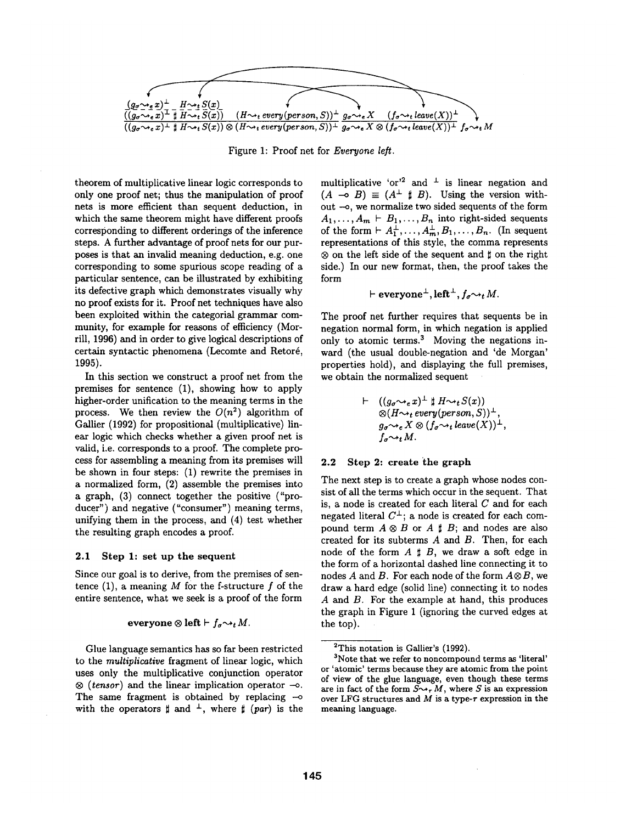

Figure 1: Proof net for *Everyone left.* 

theorem of multiplicative linear logic corresponds to only one proof net; thus the manipulation of proof nets is more efficient than sequent deduction, in which the same theorem might have different proofs corresponding to different orderings of the inference steps. A further advantage of proof nets for our purposes is that an invalid meaning deduction, e.g. one corresponding to some spurious scope reading of a particular sentence, can be illustrated by exhibiting its defective graph which demonstrates visually why no proof exists for it. Proof net techniques have also been exploited within the categorial grammar community, for example for reasons of efficiency (Morrill, 1996) and in order to give logical descriptions of certain syntactic phenomena (Lecomte and Retoré, 1995).

In this section we construct a proof net from the premises for sentence (1), showing how to apply higher-order unification to the meaning terms in the process. We then review the  $O(n^2)$  algorithm of Gallier (1992) for propositional (multiplicative) linear logic which checks whether a given proof net is valid, i.e. corresponds to a proof. The complete process for assembling a meaning from its premises will be shown in four steps: (1) rewrite the premises in a normalized form, (2) assemble the premises into a graph, (3) connect together the positive ("producer") and negative ("consumer") meaning terms, unifying them in the process, and (4) test whether the resulting graph encodes a proof.

#### **2.1 Step 1: set up the sequent**

Since our goal is to derive, from the premises of sentence (1), a meaning  $M$  for the f-structure  $f$  of the entire sentence, what we seek is a proof of the form

### **everyone**  $\otimes$  left  $\vdash f_{\sigma} \rightsquigarrow_t M$ .

Glue language semantics has so far been restricted to the *multiplicative* fragment of linear logic, which uses only the multiplicative conjunction operator  $\otimes$  (*tensor*) and the linear implication operator  $\rightarrow$ . The same fragment is obtained by replacing  $\sim$ with the operators  $\sharp$  and  $\bot$ , where  $\sharp$  (par) is the

multiplicative 'or'<sup>2</sup> and  $\perp$  is linear negation and  $(A \multimap B) \equiv (A^{\perp} \ \sharp \ B)$ . Using the version without -- o, we normalize two sided sequents of the form  $A_1, \ldots, A_m \vdash B_1, \ldots, B_n$  into right-sided sequents of the form  $\vdash A_1^{\perp}, \ldots, A_m^{\perp}, B_1, \ldots, B_n$ . (In sequent representations of this style, the comma represents  $\otimes$  on the left side of the sequent and  $\sharp$  on the right side.) In our new format, then, the proof takes the form

$$
\vdash \mathbf{ everywhere}^{\perp}, \mathbf{left}^{\perp}, f_{\sigma} \rightarrow_{t} M.
$$

The proof net further requires that sequents be in negation normal form, in which negation is applied only to atomic terms.<sup>3</sup> Moving the negations inward (the usual double-negation and 'de Morgan' properties hold), and displaying the full premises, we obtain the normalized sequent

$$
\vdash ((g_{\sigma} \rightsquigarrow_{e} x)^{\perp} \sharp H \rightsquigarrow_{t} S(x))
$$
  
\n
$$
\otimes (H \rightsquigarrow_{t} \text{every}(person, S))^{\perp},
$$
  
\n
$$
g_{\sigma} \rightsquigarrow_{e} X \otimes (f_{\sigma} \rightsquigarrow_{t} leave(X))^{\perp},
$$
  
\n
$$
f_{\sigma} \rightsquigarrow_{t} M.
$$

#### **2.2 Step 2: create the graph**

The next step is to create a graph whose nodes consist of all the terms which occur in the sequent. That is, a node is created for each literal  $C$  and for each negated literal  $C^{\perp}$ ; a node is created for each compound term  $A \otimes B$  or  $A \sharp B$ ; and nodes are also created for its subterms  $A$  and  $B$ . Then, for each node of the form  $A \sharp B$ , we draw a soft edge in the form of a horizontal dashed line connecting it to nodes A and B. For each node of the form *A®B,* we draw a hard edge (solid line) connecting it to nodes A and B. For the example at hand, this produces the graph in Figure 1 (ignoring the curved edges at the top).

<sup>2</sup>This notation is Gallier's (1992).

<sup>3</sup>Note that we refer to noncompound terms as 'literal' or 'atomic' terms because they are atomic from the point of view of the glue language, even though these terms are in fact of the form  $S \rightarrow r M$ , where S is an expression over LFG structures and  $M$  is a type- $\tau$  expression in the meaning **language.**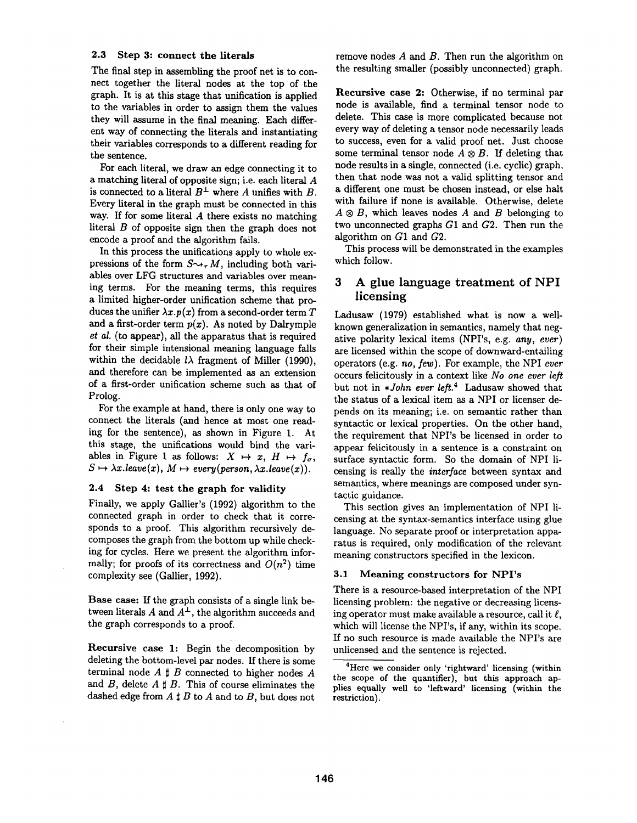### **2.3** Step 3: connect the literals

The final step in assembling the proof net is to connect together the literal nodes at the top of the graph. It is at this stage that unification is applied to the variables in order to assign them the values they will assume in the final meaning. Each different way of connecting the literals and instantiating their variables corresponds to a different reading for the sentence.

For each literal, we draw an edge connecting it to a matching literal of opposite sign; i.e. each literal A is connected to a literal  $B^{\perp}$  where A unifies with B. Every literal in the graph must be connected in this way. If for some literal A there exists no matching literal  $B$  of opposite sign then the graph does not encode a proof and the algorithm fails.

In this process the unifications apply to whole expressions of the form  $S \rightarrow_{\tau} M$ , including both variables over LFG structures and variables over meaning terms. For the meaning terms, this requires a limited higher-order unification scheme that produces the unifier  $\lambda x.p(x)$  from a second-order term  $T$ and a first-order term  $p(x)$ . As noted by Dalrymple *et al.* (to appear), all the apparatus that is required for their simple intensional meaning language falls within the decidable  $l\lambda$  fragment of Miller (1990), and therefore can be implemented as an extension of a first-order unification scheme such as that of Prolog.

For the example at hand, there is only one way to connect the literals (and hence at most one reading for the sentence), as shown in Figure 1. At this stage, the unifications would bind the variables in Figure 1 as follows:  $X \mapsto x$ ,  $H \mapsto f_{\sigma}$ ,  $S \mapsto \lambda x.$ *leave* $(x)$ ,  $M \mapsto$  every(person,  $\lambda x.$ *leave* $(x)$ ).

### 2.4 Step 4: **test the** graph for validity

Finally, we apply Gallier's (1992) algorithm to the connected graph in order to check that it corresponds to a proof. This algorithm recursively decomposes the graph from the bottom up while checking for cycles. Here we present the algorithm informally; for proofs of its correctness and  $O(n^2)$  time complexity see (Gallier, 1992).

**Base case:** If the graph consists of a single link between literals A and  $A^{\perp}$ , the algorithm succeeds and the graph corresponds to a proof.

**Recursive case** 1: Begin the decomposition by deleting the bottom-level par nodes. If there is some terminal node  $A \sharp B$  connected to higher nodes  $A$ and B, delete  $A \sharp B$ . This of course eliminates the dashed edge from  $A \sharp B$  to  $A$  and to  $B$ , but does not remove nodes  $A$  and  $B$ . Then run the algorithm on the resulting smaller (possibly unconnected) graph.

**Recursive case 2:** Otherwise, if no terminal par node is available, find a terminal tensor node to delete. This case is more complicated because not every way of deleting a tensor node necessarily leads to success, even for a valid proof net. Just choose some terminal tensor node  $A \otimes B$ . If deleting that node results in a single, connected (i.e. cyclic) graph, then that node was not a valid splitting tensor and a different one must be chosen instead, or else halt with failure if none is available. Otherwise, delete  $A \otimes B$ , which leaves nodes A and B belonging to two unconnected graphs G1 and G2. Then run the algorithm on G1 and G2.

This process will be demonstrated in the examples which follow.

## **3 A glue language treatment of NPI licensing**

Ladusaw (1979) established what is now a wellknown generalization in semantics, namely that negative polarity lexical items (NPI's, e.g. *any, ever)*  are licensed within the scope of downward-entailing operators (e.g. *no, few).* For example, the NPI *ever*  occurs felicitously in a context like *No one ever left*  but not in *\*John ever left.*<sup>4</sup> Ladusaw showed that the status of a lexical item as a NPI or licenser depends on its meaning; i.e. on semantic rather than syntactic or lexical properties. On the other hand, the requirement that NPI's be licensed in order to appear felicitously in a sentence is a constraint on surface syntactic form. So the domain of NPI licensing is really the *inter/ace* between syntax and semantics, where meanings are composed under syntactic guidance.

This section gives an implementation of NPI licensing at the syntax-semantics interface using glue language. No separate proof or interpretation apparatus is required, only modification of the relevant meaning constructors specified in the lexicon.

### 3.1 **Meaning constructors** for NPI's

There is a resource-based interpretation of the NPI licensing problem: the negative or decreasing licensing operator must make available a resource, call it  $\ell$ , which will license the NPI's, if any, within its scope. If no such resource is made available the NPI's are unlicensed and the sentence is rejected.

<sup>&</sup>lt;sup>4</sup>Here we consider only 'rightward' licensing (within the scope of the quantifier), but this approach applies equally well to 'leftward' licensing (within the restriction).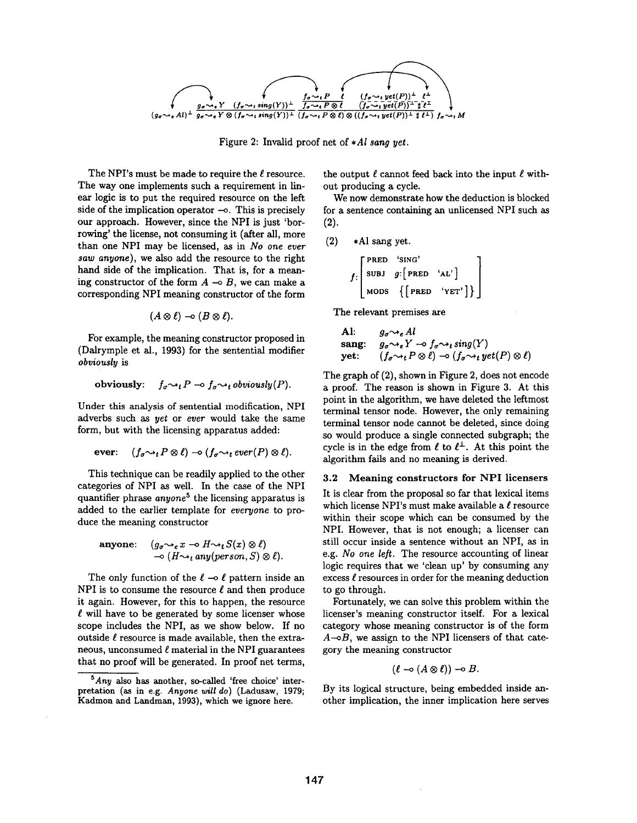

Figure 2: Invalid proof net of *\*AI sang yet.* 

The NPI's must be made to require the  $\ell$  resource. The way one implements such a requirement in linear logic is to put the required resource on the left side of the implication operator  $-\circ$ . This is precisely our approach. However, since the NPI is just 'borrowing' the license, not consuming it (after all, more than one NPI may be licensed, as in *No one ever saw anyone),* we also add the resource to the right hand side of the implication. That is, for a meaning constructor of the form  $A \rightarrow B$ , we can make a corresponding NPI meaning constructor of the form

$$
(A\otimes \ell)\multimap (B\otimes \ell).
$$

For example, the meaning constructor proposed in (Dalrymple et al., 1993) for the sentential modifier *obviously* is

obviously: 
$$
f_{\sigma} \rightsquigarrow_t P \multimap f_{\sigma} \rightsquigarrow_t \text{obviously}(P)
$$
.

Under this analysis of sentential modification, NPI adverbs such as *yet* or *ever* would take the same form, but with the licensing apparatus added:

$$
\text{ever:} \quad (f_{\sigma} \rightsquigarrow_t P \otimes \ell) \rightarrow (f_{\sigma} \rightsquigarrow_t \text{ever}(P) \otimes \ell).
$$

This technique can be readily applied to the other categories of NPI as well. In the case of the NPI quantifier phrase *anyone*<sup>5</sup> the licensing apparatus is added to the earlier template for *everyone* to produce the meaning constructor

$$
\begin{array}{ll}\text{anyone:} & (g_{\sigma} \rightsquigarrow_{e} x \rightarrow G \rightsquigarrow_{t} S(x) \otimes \ell) \\ & \rightarrow (H \rightsquigarrow_{t} any (person, S) \otimes \ell). \end{array}
$$

The only function of the  $\ell$  - $\circ$   $\ell$  pattern inside an NPI is to consume the resource  $\ell$  and then produce it again. However, for this to happen, the resource  $\ell$  will have to be generated by some licenser whose scope includes the NPI, as we show below. If no outside  $\ell$  resource is made available, then the extraneous, unconsumed  $\ell$  material in the NPI guarantees that no proof will be generated. In proof net terms,

the output  $\ell$  cannot feed back into the input  $\ell$  without producing a cycle.

We now demonstrate how the deduction is blocked for a sentence containing an unlicensed NPI such as (2).

$$
(2) \quad *Al\,\, sang\,\,yet.
$$

$$
f:\left[\begin{array}{ccc}\texttt{PRED} & \texttt{'SING'}\\ \texttt{SUBJ} & g:\left[\begin{array}{ccc} & \texttt{PRED} & \texttt{'AL'} \end{array}\right] \\ \texttt{MODS} & \left\{\left[\begin{array}{ccc} & \texttt{PRED} & \texttt{`AL'} \end{array}\right]\right\}\end{array}\right]
$$

The relevant premises are

**A!**: 
$$
g_{\sigma} \rightsquigarrow_e A l
$$
  
 sang:  $g_{\sigma} \rightsquigarrow_e Y \rightarrow f_{\sigma} \rightsquigarrow_t sing(Y)$   
yet:  $(f_{\sigma} \rightsquigarrow_t P \otimes \ell) \rightarrow (f_{\sigma} \rightsquigarrow_t yet(P) \otimes \ell)$ 

The graph of (2), shown in Figure 2, does not encode a proof. The reason is shown in Figure 3. At this point in the algorithm, we have deleted the leftmost terminal tensor node. However, the only remaining terminal tensor node cannot be deleted, since doing so would produce a single connected subgraph; the cycle is in the edge from  $\ell$  to  $\ell^{\perp}$ . At this point the algorithm fails and no meaning is derived.

### 3.2 Meaning constructors for NPI licensers

It is clear from the proposal so far that lexical items which license NPI's must make available a  $\ell$  resource within their scope which can be consumed by the NPI. However, that is not enough; a licenser can still occur inside a sentence without an NPI, as in e.g. *No one left.* The resource accounting of linear logic requires that we 'clean up' by consuming any excess  $\ell$  resources in order for the meaning deduction to go through.

Fortunately, we can solve this problem within the licenser's meaning constructor itself. For a lexical category whose meaning constructor is of the form  $A \rightarrow B$ , we assign to the NPI licensers of that category the meaning constructor

$$
(\ell \multimap (A \otimes \ell)) \multimap B.
$$

By its logical structure, being embedded inside another implication, the inner implication here serves

*<sup>5</sup>Any* also has another, so-called 'free choice' interpretation (as in e.g. *Anyone will do)* (Ladusaw, 1979; Kadmon and Landman, 1993), which we ignore here.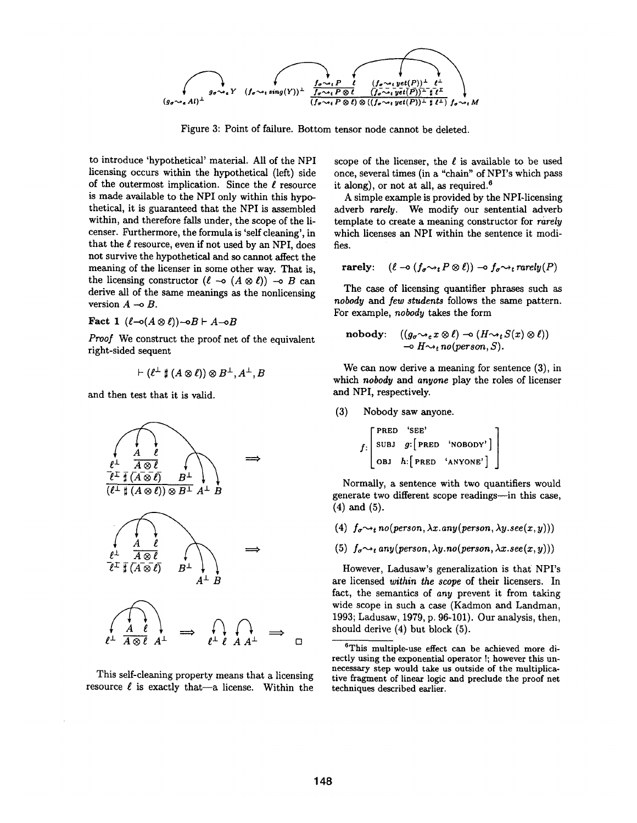

Figure 3: Point of failure. Bottom tensor node cannot be deleted.

to introduce 'hypothetical' material. All of the NPI licensing occurs within the hypothetical (left) side of the outermost implication. Since the  $\ell$  resource is made available to the NPI only within this hypothetical, it is guaranteed that the NPI is assembled within, and therefore falls under, the scope of the licenser. Furthermore, the formula is 'self cleaning', in that the  $\ell$  resource, even if not used by an NPI, does not survive the hypothetical and so cannot affect the meaning of the licenser in some other way. That is, the licensing constructor  $(\ell \multimap (A \otimes \ell)) \multimap B$  can derive all of the same meanings as the nonlicensing version  $A \rightarrow B$ .

Fact 1  $(\ell \neg(A \otimes \ell)) \neg B \vdash A \neg B$ 

*Proof* We construct the proof net of the equivalent right-sided sequent

$$
\vdash (\ell^{\perp}\sharp (A\otimes \ell))\otimes B^{\perp}, A^{\perp}, B
$$

and then test that it is valid.



This self-cleaning property means that a licensing resource  $\ell$  is exactly that--a license. Within the scope of the licenser, the  $\ell$  is available to be used once, several times (in a "chain" of NPI's which pass it along), or not at all, as required. $6$ 

A simple example is provided by the NPI-licensing adverb *rarely.* We modify our sentential adverb template to create a meaning constructor for *rarely*  which licenses an NPI within the sentence it modifies.

$$
\mathbf{rarely:} \quad (\ell \to (f_\sigma \leadsto_t P \otimes \ell)) \to f_\sigma \leadsto_t \mathbf{rarely}(P)
$$

The case of licensing quantifier phrases such as *nobody and Jew students* follows the same pattern. For example, *nobody* takes the form

nobody: 
$$
((g_{\sigma} \rightsquigarrow_e x \otimes \ell) \rightarrow (H \rightsquigarrow_t S(x) \otimes \ell))
$$
  
\n $\rightarrow H \rightsquigarrow_t no (person, S).$ 

We can now derive a meaning for sentence (3), in which *nobody* and *anyone* play the roles of licenser and NPI, respectively.

(3) Nobody saw anyone.

$$
f: \left[ \begin{array}{lll} \texttt{PRED} & 'SEE' \\ \texttt{SUBJ} & g: \begin{bmatrix} \texttt{PRED} & 'NOBODY' \end{bmatrix} \\ \texttt{OBJ} & h: \begin{bmatrix} \texttt{PRED} & 'ANYONE' \end{bmatrix} \end{array} \right]
$$

Normally, a sentence with two quantifiers would generate two different scope readings--in this case, (4) and (5).

- (4)  $f_{\sigma} \rightarrow_t no(person, \lambda x. any(person, \lambda y. see(x, y)))$
- (5)  $f_{\sigma} \rightarrow_t any (person, \lambda y. no (person, \lambda x. see(x, y)))$

However, Ladusaw's generalization is that NPI's are licensed *within the scope* of their licensers. In fact, the semantics of *any* prevent it from taking wide scope in such a case (Kadmon and Landman, 1993; Ladusaw, 1979, p. 96-101). Our analysis, then, should derive (4) but block (5).

<sup>&</sup>lt;sup>6</sup>This multiple-use effect can be achieved more directly using the exponential operator !; however this unnecessary step would take us outside of the multiplicative fragment of linear logic and preclude the proof net techniques described earlier.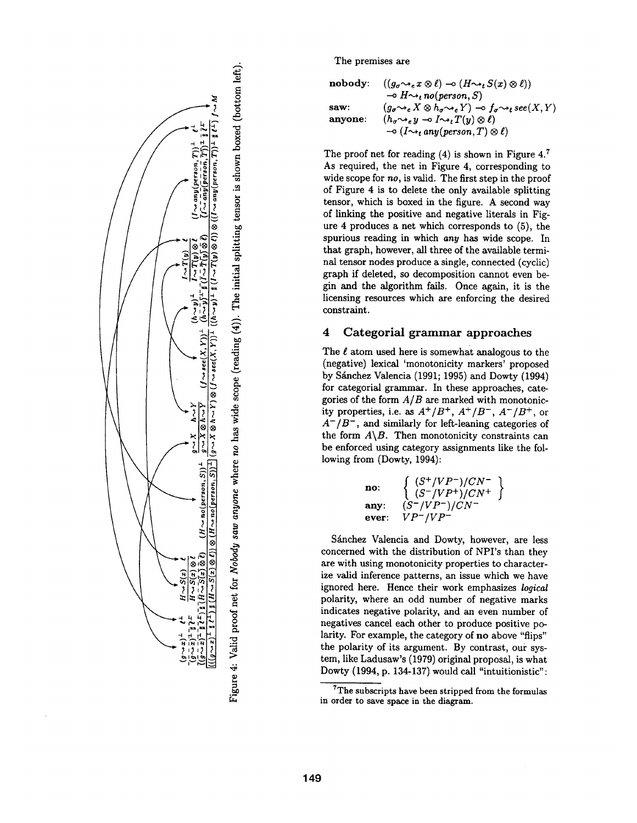

 $\hat{\mathbf{r}}$ o ~o ~o  $\frac{5}{3}$ ~D ~9 @ o

The premises are

| nobody: | $((g_{\sigma} \rightsquigarrow_e x \otimes \ell) \rightarrow (H \rightsquigarrow_t S(x) \otimes \ell))$                         |
|---------|---------------------------------------------------------------------------------------------------------------------------------|
|         | $\rightarrow$ H $\rightsquigarrow_t$ no(person, S)                                                                              |
| saw:    | $(g_{\sigma} \rightsquigarrow_e X \otimes h_{\sigma} \rightsquigarrow_e Y) \rightarrow f_{\sigma} \rightsquigarrow_t see(X, Y)$ |
| anyone: | $(h_{\sigma} \rightsquigarrow_{e} y \multimap I \rightsquigarrow_{t} T(y) \otimes \ell)$                                        |
|         | $\rightarrow (I \rightarrow_t any (person, T) \otimes \ell)$                                                                    |

The proof net for reading  $(4)$  is shown in Figure 4.<sup>7</sup> As required, the net in Figure 4, corresponding to wide scope for *no,* is valid. The first step in the proof of Figure 4 is to delete the only available splitting tensor, which is boxed in the figure. A second way of linking the positive and negative literals in Figure 4 produces a net which corresponds to (5), the spurious reading in which *any* has wide scope. In that graph, however, all three of the available terminal tensor nodes produce a single, connected (cyclic) graph if deleted, so decomposition cannot even begin and the algorithm fails. Once again, it is the licensing resources which are enforcing the desired constraint.

## 4 Categorial grammar approaches

The  $\ell$  atom used here is somewhat analogous to the (negative) lexical 'monotonicity markers' proposed by Sánchez Valencia (1991; 1995) and Dowty (1994) for categorial grammar. In these approaches, categories of the form *A/B axe* marked with monotonicity properties, i.e. as  $A^+/B^+$ ,  $A^+/B^-$ ,  $A^-/B^+$ , or *A-/B-,* and similarly for left-leaning categories of the form  $A \setminus B$ . Then monotonicity constraints can be enforced using category assignments like the following from (Dowty, 1994):

$$
\begin{array}{ll}\n\text{no:} & \left\{ \begin{array}{l} (S^+/VP^-)/CN^- \\ (S^-/VP^+)/CN^+ \end{array} \right\} \\
\text{any:} & \left. (S^-/VP^-)/CN^- \\
\text{ever:} & VP^-/VP^- \end{array} \right\}\n\end{array}
$$

Sánchez Valencia and Dowty, however, are less concerned with the distribution of NPI's than they are with using monotonicity properties to characterize valid inference patterns, an issue which we have ignored here. Hence their work emphasizes *logical*  polarity, where an odd number of negative marks indicates negative polarity, and an even number of negatives cancel each other to produce positive polarity. For example, the category of no above "flips" the polarity of its argument. By contrast, our system, like Ladusaw's (1979) original proposal, is what Dowty (1994, p. 134-137) would call "intuitionistic":

 $7$ The subscripts have been stripped from the formulas in order to save space in the diagram.